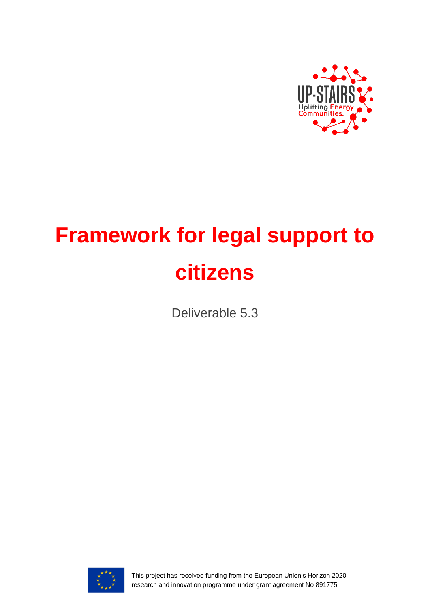

# **Framework for legal support to citizens**

Deliverable 5.3



This project has received funding from the European Union's Horizon 2020 research and innovation programme under grant agreement No 891775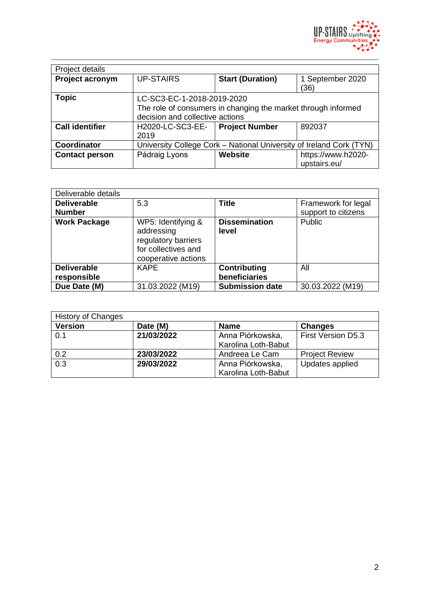

| Project details        |                                                                                                                                |                         |                                    |
|------------------------|--------------------------------------------------------------------------------------------------------------------------------|-------------------------|------------------------------------|
| Project acronym        | <b>UP-STAIRS</b>                                                                                                               | <b>Start (Duration)</b> | 1 September 2020<br>(36)           |
| <b>Topic</b>           | LC-SC3-EC-1-2018-2019-2020<br>The role of consumers in changing the market through informed<br>decision and collective actions |                         |                                    |
| <b>Call identifier</b> | H2020-LC-SC3-EE-<br>2019                                                                                                       | <b>Project Number</b>   | 892037                             |
| Coordinator            | University College Cork - National University of Ireland Cork (TYN)                                                            |                         |                                    |
| <b>Contact person</b>  | Pádraig Lyons                                                                                                                  | Website                 | https://www.h2020-<br>upstairs.eu/ |

| Deliverable details                 |                                                                                                       |                               |                                            |
|-------------------------------------|-------------------------------------------------------------------------------------------------------|-------------------------------|--------------------------------------------|
| <b>Deliverable</b><br><b>Number</b> | 5.3                                                                                                   | <b>Title</b>                  | Framework for legal<br>support to citizens |
| <b>Work Package</b>                 | WP5: Identifying &<br>addressing<br>regulatory barriers<br>for collectives and<br>cooperative actions | <b>Dissemination</b><br>level | Public                                     |
| <b>Deliverable</b>                  | <b>KAPE</b>                                                                                           | Contributing                  | All                                        |
| responsible                         |                                                                                                       | beneficiaries                 |                                            |
| Due Date (M)                        | 31.03.2022 (M19)                                                                                      | <b>Submission date</b>        | 30.03.2022 (M19)                           |

| <b>History of Changes</b> |            |                     |                       |
|---------------------------|------------|---------------------|-----------------------|
| <b>Version</b>            | Date (M)   | <b>Name</b>         | <b>Changes</b>        |
| 0.1                       | 21/03/2022 | Anna Piórkowska,    | First Version D5.3    |
|                           |            | Karolina Loth-Babut |                       |
| 0.2                       | 23/03/2022 | Andreea Le Cam      | <b>Project Review</b> |
| $\overline{0.3}$          | 29/03/2022 | Anna Piórkowska,    | Updates applied       |
|                           |            | Karolina Loth-Babut |                       |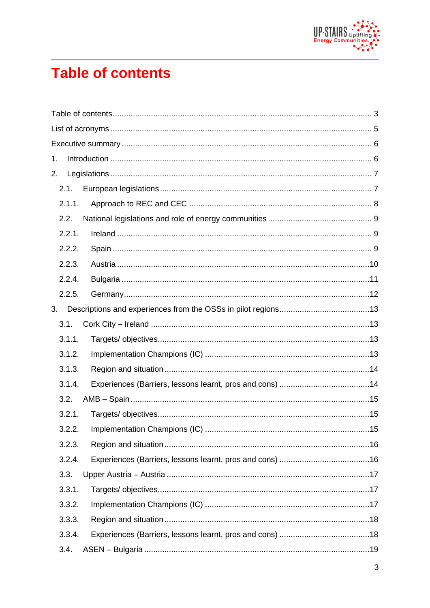

# <span id="page-2-0"></span>**Table of contents**

| 1. |        |  |  |
|----|--------|--|--|
| 2. |        |  |  |
|    | 2.1.   |  |  |
|    | 2.1.1. |  |  |
|    | 2.2.   |  |  |
|    | 2.2.1. |  |  |
|    | 2.2.2. |  |  |
|    | 2.2.3. |  |  |
|    | 2.2.4. |  |  |
|    | 2.2.5. |  |  |
| 3. |        |  |  |
|    | 3.1.   |  |  |
|    | 3.1.1. |  |  |
|    | 3.1.2. |  |  |
|    | 3.1.3. |  |  |
|    | 3.1.4. |  |  |
|    | 3.2.   |  |  |
|    | 3.2.1. |  |  |
|    | 322    |  |  |
|    | 3.2.3. |  |  |
|    | 3.2.4. |  |  |
|    | 3.3.   |  |  |
|    | 3.3.1. |  |  |
|    | 3.3.2. |  |  |
|    | 3.3.3. |  |  |
|    | 3.3.4. |  |  |
|    | 3.4.   |  |  |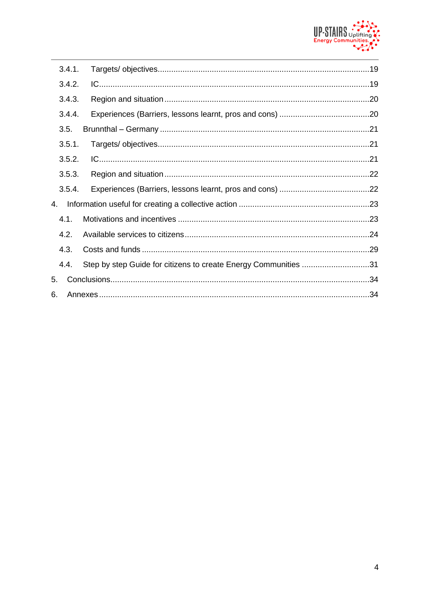

|    | 3.4.1. |                                                                 |  |
|----|--------|-----------------------------------------------------------------|--|
|    | 3.4.2. |                                                                 |  |
|    | 3.4.3. |                                                                 |  |
|    | 3.4.4. |                                                                 |  |
|    | 3.5.   |                                                                 |  |
|    | 3.5.1. |                                                                 |  |
|    | 3.5.2. |                                                                 |  |
|    | 3.5.3. |                                                                 |  |
|    | 3.5.4. |                                                                 |  |
| 4. |        |                                                                 |  |
|    | 4.1.   |                                                                 |  |
|    | 4.2.   |                                                                 |  |
|    | 4.3.   |                                                                 |  |
|    | 4.4.   | Step by step Guide for citizens to create Energy Communities 31 |  |
| 5. |        |                                                                 |  |
| 6. |        |                                                                 |  |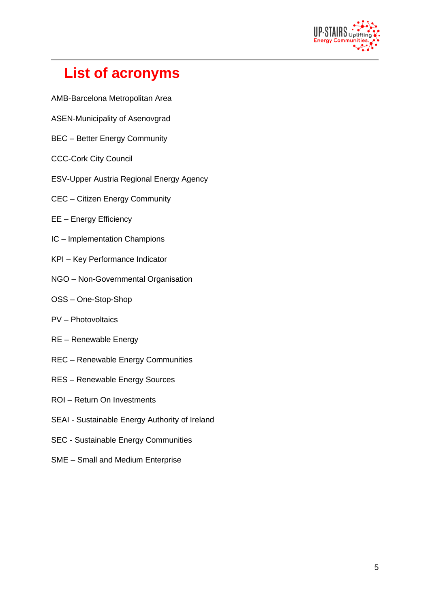

# <span id="page-4-0"></span>**List of acronyms**

- AMB-Barcelona Metropolitan Area
- ASEN-Municipality of Asenovgrad
- BEC Better Energy Community
- CCC-Cork City Council
- ESV-Upper Austria Regional Energy Agency
- CEC Citizen Energy Community
- EE Energy Efficiency
- IC Implementation Champions
- KPI Key Performance Indicator
- NGO Non-Governmental Organisation
- OSS One-Stop-Shop
- PV Photovoltaics
- RE Renewable Energy
- REC Renewable Energy Communities
- RES Renewable Energy Sources
- ROI Return On Investments
- SEAI Sustainable Energy Authority of Ireland
- SEC Sustainable Energy Communities
- SME Small and Medium Enterprise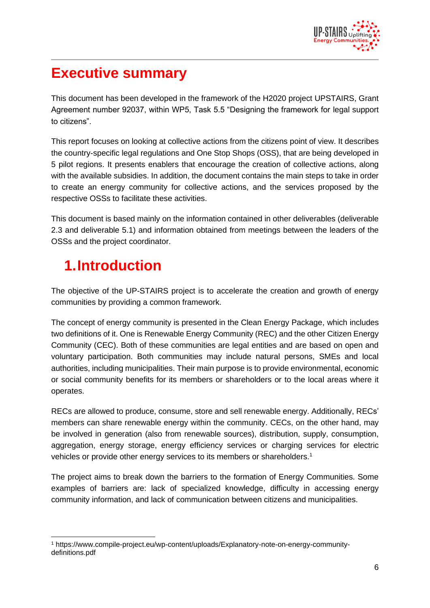

## <span id="page-5-0"></span>**Executive summary**

This document has been developed in the framework of the H2020 project UPSTAIRS, Grant Agreement number 92037, within WP5, Task 5.5 "Designing the framework for legal support to citizens".

This report focuses on looking at collective actions from the citizens point of view. It describes the country-specific legal regulations and One Stop Shops (OSS), that are being developed in 5 pilot regions. It presents enablers that encourage the creation of collective actions, along with the available subsidies. In addition, the document contains the main steps to take in order to create an energy community for collective actions, and the services proposed by the respective OSSs to facilitate these activities.

This document is based mainly on the information contained in other deliverables (deliverable 2.3 and deliverable 5.1) and information obtained from meetings between the leaders of the OSSs and the project coordinator.

# <span id="page-5-1"></span>**1.Introduction**

The objective of the UP-STAIRS project is to accelerate the creation and growth of energy communities by providing a common framework.

The concept of energy community is presented in the Clean Energy Package, which includes two definitions of it. One is Renewable Energy Community (REC) and the other Citizen Energy Community (CEC). Both of these communities are legal entities and are based on open and voluntary participation. Both communities may include natural persons, SMEs and local authorities, including municipalities. Their main purpose is to provide environmental, economic or social community benefits for its members or shareholders or to the local areas where it operates.

RECs are allowed to produce, consume, store and sell renewable energy. Additionally, RECs' members can share renewable energy within the community. CECs, on the other hand, may be involved in generation (also from renewable sources), distribution, supply, consumption, aggregation, energy storage, energy efficiency services or charging services for electric vehicles or provide other energy services to its members or shareholders.<sup>1</sup>

The project aims to break down the barriers to the formation of Energy Communities. Some examples of barriers are: lack of specialized knowledge, difficulty in accessing energy community information, and lack of communication between citizens and municipalities.

<sup>1</sup> https://www.compile-project.eu/wp-content/uploads/Explanatory-note-on-energy-communitydefinitions.pdf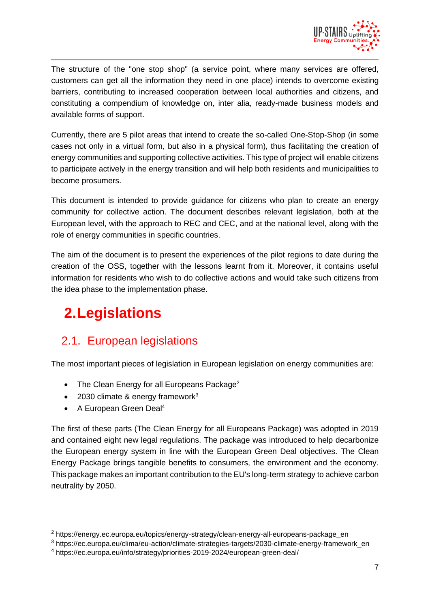

The structure of the "one stop shop" (a service point, where many services are offered, customers can get all the information they need in one place) intends to overcome existing barriers, contributing to increased cooperation between local authorities and citizens, and constituting a compendium of knowledge on, inter alia, ready-made business models and available forms of support.

Currently, there are 5 pilot areas that intend to create the so-called One-Stop-Shop (in some cases not only in a virtual form, but also in a physical form), thus facilitating the creation of energy communities and supporting collective activities. This type of project will enable citizens to participate actively in the energy transition and will help both residents and municipalities to become prosumers.

This document is intended to provide guidance for citizens who plan to create an energy community for collective action. The document describes relevant legislation, both at the European level, with the approach to REC and CEC, and at the national level, along with the role of energy communities in specific countries.

The aim of the document is to present the experiences of the pilot regions to date during the creation of the OSS, together with the lessons learnt from it. Moreover, it contains useful information for residents who wish to do collective actions and would take such citizens from the idea phase to the implementation phase.

# <span id="page-6-0"></span>**2.Legislations**

### <span id="page-6-1"></span>2.1. European legislations

The most important pieces of legislation in European legislation on energy communities are:

- The Clean Energy for all Europeans Package<sup>2</sup>
- 2030 climate & energy framework $3$
- A European Green Deal<sup>4</sup>

The first of these parts (The Clean Energy for all Europeans Package) was adopted in 2019 and contained eight new legal regulations. The package was introduced to help decarbonize the European energy system in line with the European Green Deal objectives. The Clean Energy Package brings tangible benefits to consumers, the environment and the economy. This package makes an important contribution to the EU's long-term strategy to achieve carbon neutrality by 2050.

<sup>2</sup> https://energy.ec.europa.eu/topics/energy-strategy/clean-energy-all-europeans-package\_en

<sup>3</sup> https://ec.europa.eu/clima/eu-action/climate-strategies-targets/2030-climate-energy-framework\_en

<sup>4</sup> https://ec.europa.eu/info/strategy/priorities-2019-2024/european-green-deal/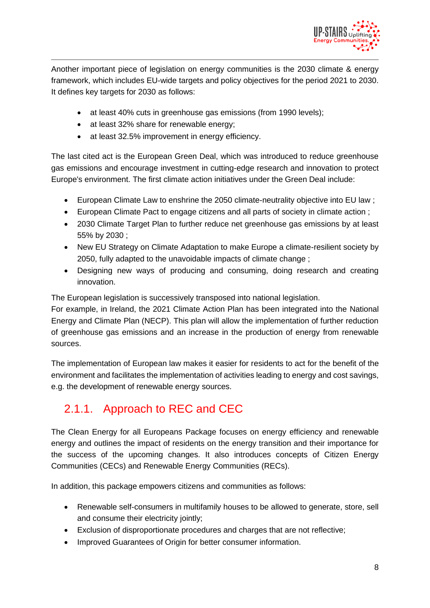

Another important piece of legislation on energy communities is the 2030 climate & energy framework, which includes EU-wide targets and policy objectives for the period 2021 to 2030. It defines key targets for 2030 as follows:

- at least 40% cuts in greenhouse gas emissions (from 1990 levels);
- at least 32% share for renewable energy;
- at least 32.5% improvement in energy efficiency.

The last cited act is the European Green Deal, which was introduced to reduce greenhouse gas emissions and encourage investment in cutting-edge research and innovation to protect Europe's environment. The first climate action initiatives under the Green Deal include:

- European Climate Law to enshrine the 2050 climate-neutrality objective into EU law;
- European Climate Pact to engage citizens and all parts of society in climate action ;
- 2030 Climate Target Plan to further reduce net greenhouse gas emissions by at least 55% by 2030 ;
- New EU Strategy on Climate Adaptation to make Europe a climate-resilient society by 2050, fully adapted to the unavoidable impacts of climate change ;
- Designing new ways of producing and consuming, doing research and creating innovation.

The European legislation is successively transposed into national legislation.

For example, in Ireland, the 2021 Climate Action Plan has been integrated into the National Energy and Climate Plan (NECP). This plan will allow the implementation of further reduction of greenhouse gas emissions and an increase in the production of energy from renewable sources.

The implementation of European law makes it easier for residents to act for the benefit of the environment and facilitates the implementation of activities leading to energy and cost savings, e.g. the development of renewable energy sources.

### <span id="page-7-0"></span>2.1.1. Approach to REC and CEC

The Clean Energy for all Europeans Package focuses on energy efficiency and renewable energy and outlines the impact of residents on the energy transition and their importance for the success of the upcoming changes. It also introduces concepts of Citizen Energy Communities (CECs) and Renewable Energy Communities (RECs).

In addition, this package empowers citizens and communities as follows:

- Renewable self-consumers in multifamily houses to be allowed to generate, store, sell and consume their electricity jointly;
- Exclusion of disproportionate procedures and charges that are not reflective;
- Improved Guarantees of Origin for better consumer information.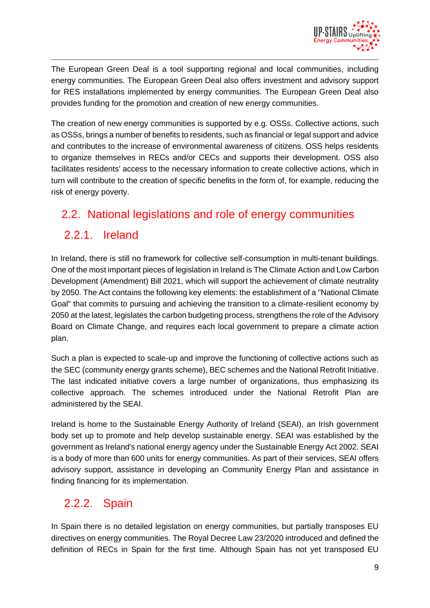

The European Green Deal is a tool supporting regional and local communities, including energy communities. The European Green Deal also offers investment and advisory support for RES installations implemented by energy communities. The European Green Deal also provides funding for the promotion and creation of new energy communities.

The creation of new energy communities is supported by e.g. OSSs. Collective actions, such as OSSs, brings a number of benefits to residents, such as financial or legal support and advice and contributes to the increase of environmental awareness of citizens. OSS helps residents to organize themselves in RECs and/or CECs and supports their development. OSS also facilitates residents' access to the necessary information to create collective actions, which in turn will contribute to the creation of specific benefits in the form of, for example, reducing the risk of energy poverty.

### <span id="page-8-0"></span>2.2. National legislations and role of energy communities

### <span id="page-8-1"></span>2.2.1. Ireland

In Ireland, there is still no framework for collective self-consumption in multi-tenant buildings. One of the most important pieces of legislation in Ireland is The Climate Action and Low Carbon Development (Amendment) Bill 2021, which will support the achievement of climate neutrality by 2050. The Act contains the following key elements: the establishment of a "National Climate Goal" that commits to pursuing and achieving the transition to a climate-resilient economy by 2050 at the latest, legislates the carbon budgeting process, strengthens the role of the Advisory Board on Climate Change, and requires each local government to prepare a climate action plan.

Such a plan is expected to scale-up and improve the functioning of collective actions such as the SEC (community energy grants scheme), BEC schemes and the National Retrofit Initiative. The last indicated initiative covers a large number of organizations, thus emphasizing its collective approach. The schemes introduced under the National Retrofit Plan are administered by the SEAI.

Ireland is home to the Sustainable Energy Authority of Ireland (SEAI), an Irish government body set up to promote and help develop sustainable energy. SEAI was established by the government as Ireland's national energy agency under the Sustainable Energy Act 2002. SEAI is a body of more than 600 units for energy communities. As part of their services, SEAI offers advisory support, assistance in developing an Community Energy Plan and assistance in finding financing for its implementation.

### <span id="page-8-2"></span>2.2.2. Spain

In Spain there is no detailed legislation on energy communities, but partially transposes EU directives on energy communities. The Royal Decree Law 23/2020 introduced and defined the definition of RECs in Spain for the first time. Although Spain has not yet transposed EU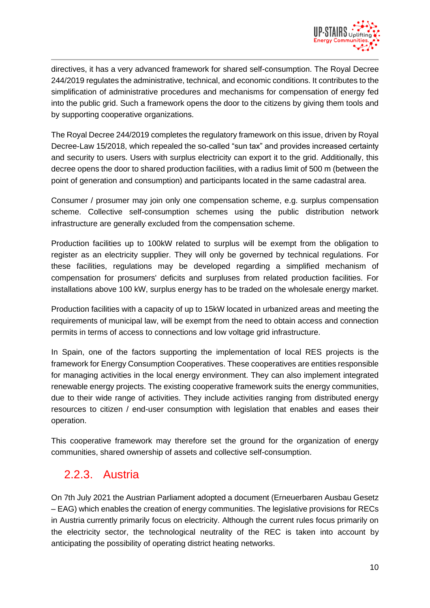

directives, it has a very advanced framework for shared self-consumption. The Royal Decree 244/2019 regulates the administrative, technical, and economic conditions. It contributes to the simplification of administrative procedures and mechanisms for compensation of energy fed into the public grid. Such a framework opens the door to the citizens by giving them tools and by supporting cooperative organizations.

The Royal Decree 244/2019 completes the regulatory framework on this issue, driven by Royal Decree-Law 15/2018, which repealed the so-called "sun tax" and provides increased certainty and security to users. Users with surplus electricity can export it to the grid. Additionally, this decree opens the door to shared production facilities, with a radius limit of 500 m (between the point of generation and consumption) and participants located in the same cadastral area.

Consumer / prosumer may join only one compensation scheme, e.g. surplus compensation scheme. Collective self-consumption schemes using the public distribution network infrastructure are generally excluded from the compensation scheme.

Production facilities up to 100kW related to surplus will be exempt from the obligation to register as an electricity supplier. They will only be governed by technical regulations. For these facilities, regulations may be developed regarding a simplified mechanism of compensation for prosumers' deficits and surpluses from related production facilities. For installations above 100 kW, surplus energy has to be traded on the wholesale energy market.

Production facilities with a capacity of up to 15kW located in urbanized areas and meeting the requirements of municipal law, will be exempt from the need to obtain access and connection permits in terms of access to connections and low voltage grid infrastructure.

In Spain, one of the factors supporting the implementation of local RES projects is the framework for Energy Consumption Cooperatives. These cooperatives are entities responsible for managing activities in the local energy environment. They can also implement integrated renewable energy projects. The existing cooperative framework suits the energy communities, due to their wide range of activities. They include activities ranging from distributed energy resources to citizen / end-user consumption with legislation that enables and eases their operation.

This cooperative framework may therefore set the ground for the organization of energy communities, shared ownership of assets and collective self-consumption.

### <span id="page-9-0"></span>2.2.3. Austria

On 7th July 2021 the Austrian Parliament adopted a document (Erneuerbaren Ausbau Gesetz – EAG) which enables the creation of energy communities. The legislative provisions for RECs in Austria currently primarily focus on electricity. Although the current rules focus primarily on the electricity sector, the technological neutrality of the REC is taken into account by anticipating the possibility of operating district heating networks.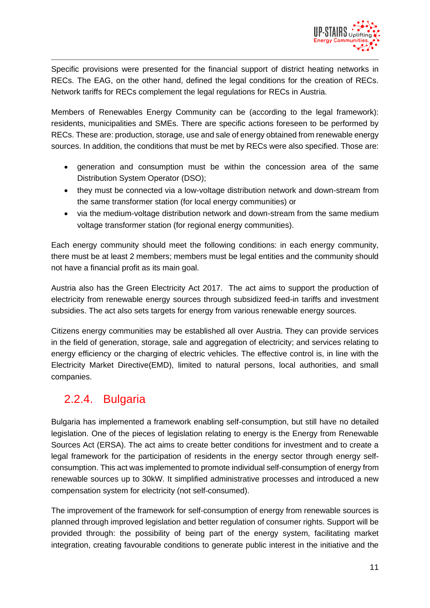

Specific provisions were presented for the financial support of district heating networks in RECs. The EAG, on the other hand, defined the legal conditions for the creation of RECs. Network tariffs for RECs complement the legal regulations for RECs in Austria.

Members of Renewables Energy Community can be (according to the legal framework): residents, municipalities and SMEs. There are specific actions foreseen to be performed by RECs. These are: production, storage, use and sale of energy obtained from renewable energy sources. In addition, the conditions that must be met by RECs were also specified. Those are:

- generation and consumption must be within the concession area of the same Distribution System Operator (DSO);
- they must be connected via a low-voltage distribution network and down-stream from the same transformer station (for local energy communities) or
- via the medium-voltage distribution network and down-stream from the same medium voltage transformer station (for regional energy communities).

Each energy community should meet the following conditions: in each energy community, there must be at least 2 members; members must be legal entities and the community should not have a financial profit as its main goal.

Austria also has the Green Electricity Act 2017. The act aims to support the production of electricity from renewable energy sources through subsidized feed-in tariffs and investment subsidies. The act also sets targets for energy from various renewable energy sources.

Citizens energy communities may be established all over Austria. They can provide services in the field of generation, storage, sale and aggregation of electricity; and services relating to energy efficiency or the charging of electric vehicles. The effective control is, in line with the Electricity Market Directive(EMD), limited to natural persons, local authorities, and small companies.

### <span id="page-10-0"></span>2.2.4. Bulgaria

Bulgaria has implemented a framework enabling self-consumption, but still have no detailed legislation. One of the pieces of legislation relating to energy is the Energy from Renewable Sources Act (ERSA). The act aims to create better conditions for investment and to create a legal framework for the participation of residents in the energy sector through energy selfconsumption. This act was implemented to promote individual self-consumption of energy from renewable sources up to 30kW. It simplified administrative processes and introduced a new compensation system for electricity (not self-consumed).

The improvement of the framework for self-consumption of energy from renewable sources is planned through improved legislation and better regulation of consumer rights. Support will be provided through: the possibility of being part of the energy system, facilitating market integration, creating favourable conditions to generate public interest in the initiative and the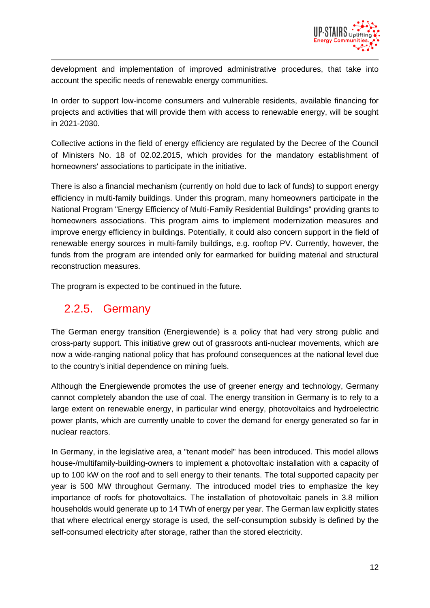

development and implementation of improved administrative procedures, that take into account the specific needs of renewable energy communities.

In order to support low-income consumers and vulnerable residents, available financing for projects and activities that will provide them with access to renewable energy, will be sought in 2021-2030.

Collective actions in the field of energy efficiency are regulated by the Decree of the Council of Ministers No. 18 of 02.02.2015, which provides for the mandatory establishment of homeowners' associations to participate in the initiative.

There is also a financial mechanism (currently on hold due to lack of funds) to support energy efficiency in multi-family buildings. Under this program, many homeowners participate in the National Program "Energy Efficiency of Multi-Family Residential Buildings" providing grants to homeowners associations. This program aims to implement modernization measures and improve energy efficiency in buildings. Potentially, it could also concern support in the field of renewable energy sources in multi-family buildings, e.g. rooftop PV. Currently, however, the funds from the program are intended only for earmarked for building material and structural reconstruction measures.

The program is expected to be continued in the future.

### <span id="page-11-0"></span>2.2.5. Germany

The German energy transition (Energiewende) is a policy that had very strong public and cross-party support. This initiative grew out of grassroots anti-nuclear movements, which are now a wide-ranging national policy that has profound consequences at the national level due to the country's initial dependence on mining fuels.

Although the Energiewende promotes the use of greener energy and technology, Germany cannot completely abandon the use of coal. The energy transition in Germany is to rely to a large extent on renewable energy, in particular wind energy, photovoltaics and hydroelectric power plants, which are currently unable to cover the demand for energy generated so far in nuclear reactors.

In Germany, in the legislative area, a "tenant model" has been introduced. This model allows house-/multifamily-building-owners to implement a photovoltaic installation with a capacity of up to 100 kW on the roof and to sell energy to their tenants. The total supported capacity per year is 500 MW throughout Germany. The introduced model tries to emphasize the key importance of roofs for photovoltaics. The installation of photovoltaic panels in 3.8 million households would generate up to 14 TWh of energy per year. The German law explicitly states that where electrical energy storage is used, the self-consumption subsidy is defined by the self-consumed electricity after storage, rather than the stored electricity.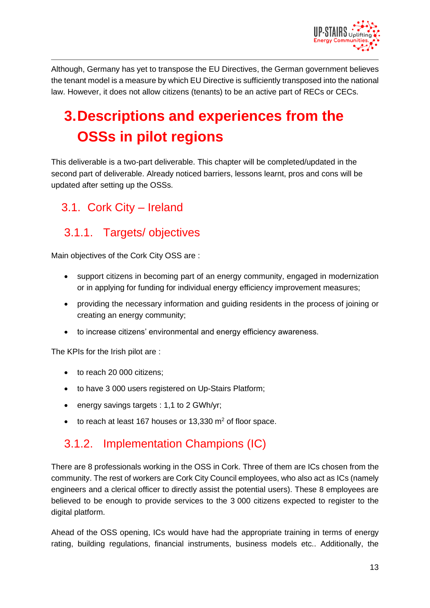

Although, Germany has yet to transpose the EU Directives, the German government believes the tenant model is a measure by which EU Directive is sufficiently transposed into the national law. However, it does not allow citizens (tenants) to be an active part of RECs or CECs.

# <span id="page-12-0"></span>**3.Descriptions and experiences from the OSSs in pilot regions**

This deliverable is a two-part deliverable. This chapter will be completed/updated in the second part of deliverable. Already noticed barriers, lessons learnt, pros and cons will be updated after setting up the OSSs.

### <span id="page-12-1"></span>3.1. Cork City – Ireland

### <span id="page-12-2"></span>3.1.1. Targets/ objectives

Main objectives of the Cork City OSS are :

- support citizens in becoming part of an energy community, engaged in modernization or in applying for funding for individual energy efficiency improvement measures;
- providing the necessary information and guiding residents in the process of joining or creating an energy community;
- to increase citizens' environmental and energy efficiency awareness.

The KPIs for the Irish pilot are :

- to reach 20 000 citizens;
- to have 3 000 users registered on Up-Stairs Platform;
- energy savings targets : 1,1 to 2 GWh/yr;
- $\bullet$  to reach at least 167 houses or 13,330 m<sup>2</sup> of floor space.

### <span id="page-12-3"></span>3.1.2. Implementation Champions (IC)

There are 8 professionals working in the OSS in Cork. Three of them are ICs chosen from the community. The rest of workers are Cork City Council employees, who also act as ICs (namely engineers and a clerical officer to directly assist the potential users). These 8 employees are believed to be enough to provide services to the 3 000 citizens expected to register to the digital platform.

Ahead of the OSS opening, ICs would have had the appropriate training in terms of energy rating, building regulations, financial instruments, business models etc.. Additionally, the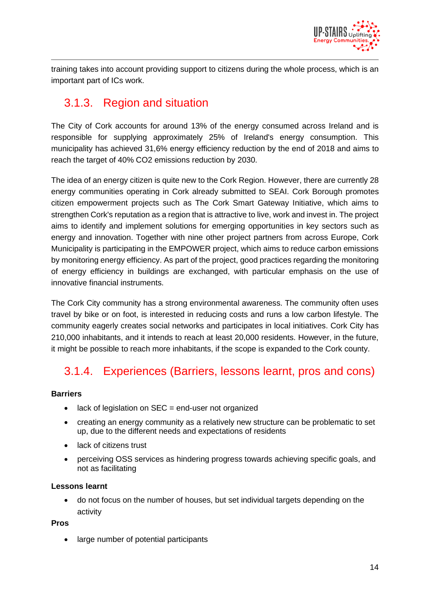

training takes into account providing support to citizens during the whole process, which is an important part of ICs work.

### <span id="page-13-0"></span>3.1.3. Region and situation

The City of Cork accounts for around 13% of the energy consumed across Ireland and is responsible for supplying approximately 25% of Ireland's energy consumption. This municipality has achieved 31,6% energy efficiency reduction by the end of 2018 and aims to reach the target of 40% CO2 emissions reduction by 2030.

The idea of an energy citizen is quite new to the Cork Region. However, there are currently 28 energy communities operating in Cork already submitted to SEAI. Cork Borough promotes citizen empowerment projects such as The Cork Smart Gateway Initiative, which aims to strengthen Cork's reputation as a region that is attractive to live, work and invest in. The project aims to identify and implement solutions for emerging opportunities in key sectors such as energy and innovation. Together with nine other project partners from across Europe, Cork Municipality is participating in the EMPOWER project, which aims to reduce carbon emissions by monitoring energy efficiency. As part of the project, good practices regarding the monitoring of energy efficiency in buildings are exchanged, with particular emphasis on the use of innovative financial instruments.

The Cork City community has a strong environmental awareness. The community often uses travel by bike or on foot, is interested in reducing costs and runs a low carbon lifestyle. The community eagerly creates social networks and participates in local initiatives. Cork City has 210,000 inhabitants, and it intends to reach at least 20,000 residents. However, in the future, it might be possible to reach more inhabitants, if the scope is expanded to the Cork county.

### <span id="page-13-1"></span>3.1.4. Experiences (Barriers, lessons learnt, pros and cons)

#### **Barriers**

- lack of legislation on SEC = end-user not organized
- creating an energy community as a relatively new structure can be problematic to set up, due to the different needs and expectations of residents
- lack of citizens trust
- perceiving OSS services as hindering progress towards achieving specific goals, and not as facilitating

#### **Lessons learnt**

• do not focus on the number of houses, but set individual targets depending on the activity

#### **Pros**

• large number of potential participants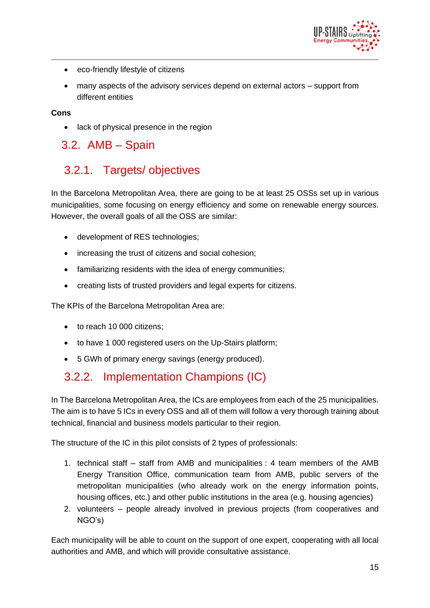

- eco-friendly lifestyle of citizens
- many aspects of the advisory services depend on external actors support from different entities

**Cons**

• lack of physical presence in the region

<span id="page-14-0"></span>3.2. AMB – Spain

### <span id="page-14-1"></span>3.2.1. Targets/ objectives

In the Barcelona Metropolitan Area, there are going to be at least 25 OSSs set up in various municipalities, some focusing on energy efficiency and some on renewable energy sources. However, the overall goals of all the OSS are similar:

- development of RES technologies;
- increasing the trust of citizens and social cohesion;
- familiarizing residents with the idea of energy communities;
- creating lists of trusted providers and legal experts for citizens.

The KPIs of the Barcelona Metropolitan Area are:

- to reach 10 000 citizens:
- to have 1 000 registered users on the Up-Stairs platform;
- 5 GWh of primary energy savings (energy produced).

### <span id="page-14-2"></span>3.2.2. Implementation Champions (IC)

In The Barcelona Metropolitan Area, the ICs are employees from each of the 25 municipalities. The aim is to have 5 ICs in every OSS and all of them will follow a very thorough training about technical, financial and business models particular to their region.

The structure of the IC in this pilot consists of 2 types of professionals:

- 1. technical staff staff from AMB and municipalities : 4 team members of the AMB Energy Transition Office, communication team from AMB, public servers of the metropolitan municipalities (who already work on the energy information points, housing offices, etc.) and other public institutions in the area (e.g. housing agencies)
- 2. volunteers people already involved in previous projects (from cooperatives and NGO's)

Each municipality will be able to count on the support of one expert, cooperating with all local authorities and AMB, and which will provide consultative assistance.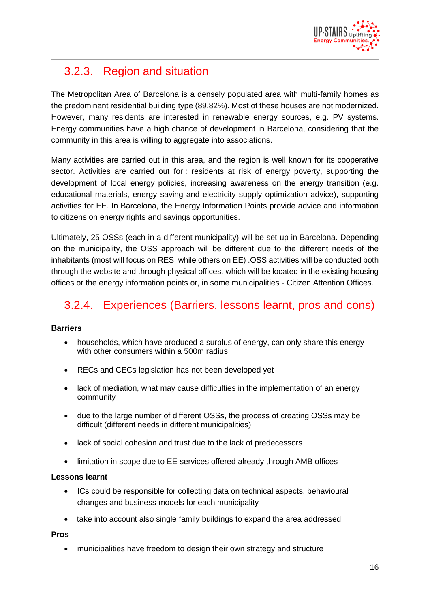

### <span id="page-15-0"></span>3.2.3. Region and situation

The Metropolitan Area of Barcelona is a densely populated area with multi-family homes as the predominant residential building type (89,82%). Most of these houses are not modernized. However, many residents are interested in renewable energy sources, e.g. PV systems. Energy communities have a high chance of development in Barcelona, considering that the community in this area is willing to aggregate into associations.

Many activities are carried out in this area, and the region is well known for its cooperative sector. Activities are carried out for : residents at risk of energy poverty, supporting the development of local energy policies, increasing awareness on the energy transition (e.g. educational materials, energy saving and electricity supply optimization advice), supporting activities for EE. In Barcelona, the Energy Information Points provide advice and information to citizens on energy rights and savings opportunities.

Ultimately, 25 OSSs (each in a different municipality) will be set up in Barcelona. Depending on the municipality, the OSS approach will be different due to the different needs of the inhabitants (most will focus on RES, while others on EE) .OSS activities will be conducted both through the website and through physical offices, which will be located in the existing housing offices or the energy information points or, in some municipalities - Citizen Attention Offices.

### <span id="page-15-1"></span>3.2.4. Experiences (Barriers, lessons learnt, pros and cons)

#### **Barriers**

- households, which have produced a surplus of energy, can only share this energy with other consumers within a 500m radius
- RECs and CECs legislation has not been developed yet
- lack of mediation, what may cause difficulties in the implementation of an energy community
- due to the large number of different OSSs, the process of creating OSSs may be difficult (different needs in different municipalities)
- lack of social cohesion and trust due to the lack of predecessors
- limitation in scope due to EE services offered already through AMB offices

#### **Lessons learnt**

- ICs could be responsible for collecting data on technical aspects, behavioural changes and business models for each municipality
- take into account also single family buildings to expand the area addressed

#### **Pros**

• municipalities have freedom to design their own strategy and structure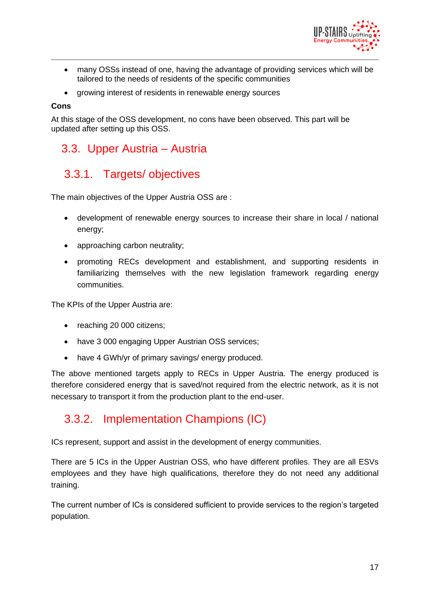

- many OSSs instead of one, having the advantage of providing services which will be tailored to the needs of residents of the specific communities
- growing interest of residents in renewable energy sources

#### **Cons**

At this stage of the OSS development, no cons have been observed. This part will be updated after setting up this OSS.

### <span id="page-16-0"></span>3.3. Upper Austria – Austria

### <span id="page-16-1"></span>3.3.1. Targets/ objectives

The main objectives of the Upper Austria OSS are :

- development of renewable energy sources to increase their share in local / national energy;
- approaching carbon neutrality;
- promoting RECs development and establishment, and supporting residents in familiarizing themselves with the new legislation framework regarding energy communities.

The KPIs of the Upper Austria are:

- reaching 20 000 citizens;
- have 3 000 engaging Upper Austrian OSS services;
- have 4 GWh/yr of primary savings/ energy produced.

The above mentioned targets apply to RECs in Upper Austria. The energy produced is therefore considered energy that is saved/not required from the electric network, as it is not necessary to transport it from the production plant to the end-user.

### <span id="page-16-2"></span>3.3.2. Implementation Champions (IC)

ICs represent, support and assist in the development of energy communities.

There are 5 ICs in the Upper Austrian OSS, who have different profiles. They are all ESVs employees and they have high qualifications, therefore they do not need any additional training.

The current number of ICs is considered sufficient to provide services to the region's targeted population.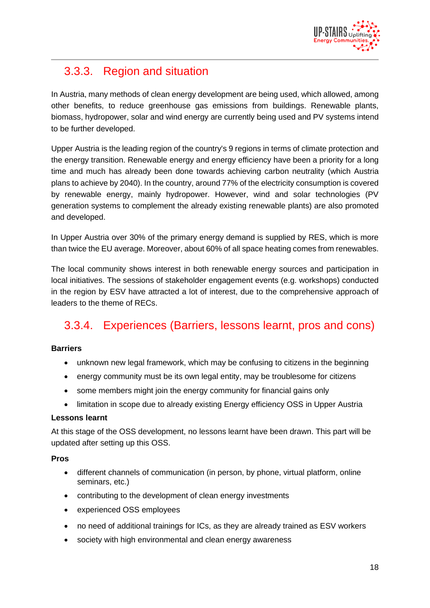

### <span id="page-17-0"></span>3.3.3. Region and situation

In Austria, many methods of clean energy development are being used, which allowed, among other benefits, to reduce greenhouse gas emissions from buildings. Renewable plants, biomass, hydropower, solar and wind energy are currently being used and PV systems intend to be further developed.

Upper Austria is the leading region of the country's 9 regions in terms of climate protection and the energy transition. Renewable energy and energy efficiency have been a priority for a long time and much has already been done towards achieving carbon neutrality (which Austria plans to achieve by 2040). In the country, around 77% of the electricity consumption is covered by renewable energy, mainly hydropower. However, wind and solar technologies (PV generation systems to complement the already existing renewable plants) are also promoted and developed.

In Upper Austria over 30% of the primary energy demand is supplied by RES, which is more than twice the EU average. Moreover, about 60% of all space heating comes from renewables.

The local community shows interest in both renewable energy sources and participation in local initiatives. The sessions of stakeholder engagement events (e.g. workshops) conducted in the region by ESV have attracted a lot of interest, due to the comprehensive approach of leaders to the theme of RECs.

### <span id="page-17-1"></span>3.3.4. Experiences (Barriers, lessons learnt, pros and cons)

#### **Barriers**

- unknown new legal framework, which may be confusing to citizens in the beginning
- energy community must be its own legal entity, may be troublesome for citizens
- some members might join the energy community for financial gains only
- limitation in scope due to already existing Energy efficiency OSS in Upper Austria

#### **Lessons learnt**

At this stage of the OSS development, no lessons learnt have been drawn. This part will be updated after setting up this OSS.

#### **Pros**

- different channels of communication (in person, by phone, virtual platform, online seminars, etc.)
- contributing to the development of clean energy investments
- experienced OSS employees
- no need of additional trainings for ICs, as they are already trained as ESV workers
- society with high environmental and clean energy awareness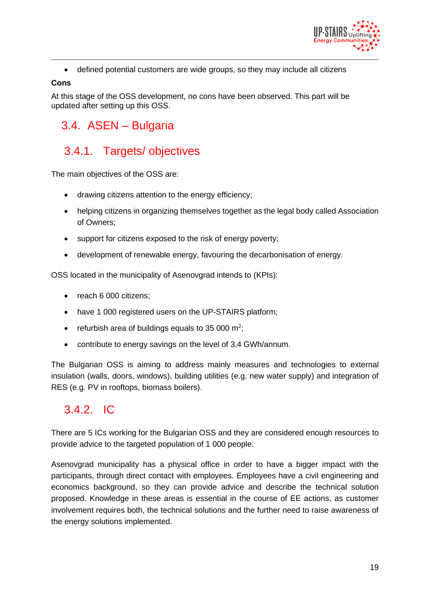

• defined potential customers are wide groups, so they may include all citizens

#### **Cons**

At this stage of the OSS development, no cons have been observed. This part will be updated after setting up this OSS.

### <span id="page-18-0"></span>3.4. ASEN – Bulgaria

### <span id="page-18-1"></span>3.4.1. Targets/ objectives

The main objectives of the OSS are:

- drawing citizens attention to the energy efficiency;
- helping citizens in organizing themselves together as the legal body called Association of Owners;
- support for citizens exposed to the risk of energy poverty;
- development of renewable energy, favouring the decarbonisation of energy.

OSS located in the municipality of Asenovgrad intends to (KPIs):

- reach 6 000 citizens;
- have 1 000 registered users on the UP-STAIRS platform;
- refurbish area of buildings equals to 35 000  $\mathrm{m}^2$ ;
- contribute to energy savings on the level of 3,4 GWh/annum.

The Bulgarian OSS is aiming to address mainly measures and technologies to external insulation (walls, doors, windows), building utilities (e.g. new water supply) and integration of RES (e.g. PV in rooftops, biomass boilers).

### <span id="page-18-2"></span>3.4.2. IC

There are 5 ICs working for the Bulgarian OSS and they are considered enough resources to provide advice to the targeted population of 1 000 people.

Asenovgrad municipality has a physical office in order to have a bigger impact with the participants, through direct contact with employees. Employees have a civil engineering and economics background, so they can provide advice and describe the technical solution proposed. Knowledge in these areas is essential in the course of EE actions, as customer involvement requires both, the technical solutions and the further need to raise awareness of the energy solutions implemented.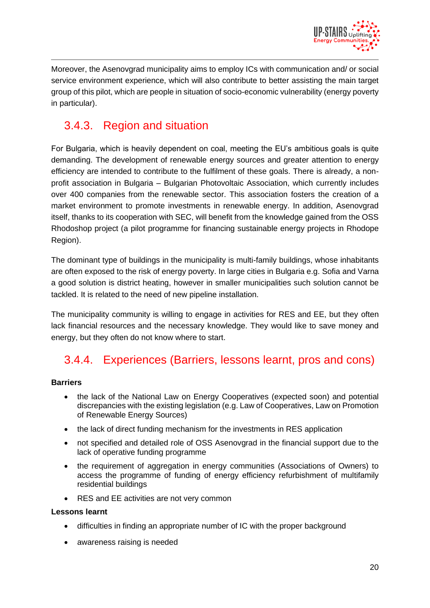

Moreover, the Asenovgrad municipality aims to employ ICs with communication and/ or social service environment experience, which will also contribute to better assisting the main target group of this pilot, which are people in situation of socio-economic vulnerability (energy poverty in particular).

### <span id="page-19-0"></span>3.4.3. Region and situation

For Bulgaria, which is heavily dependent on coal, meeting the EU's ambitious goals is quite demanding. The development of renewable energy sources and greater attention to energy efficiency are intended to contribute to the fulfilment of these goals. There is already, a nonprofit association in Bulgaria – Bulgarian Photovoltaic Association, which currently includes over 400 companies from the renewable sector. This association fosters the creation of a market environment to promote investments in renewable energy. In addition, Asenovgrad itself, thanks to its cooperation with SEC, will benefit from the knowledge gained from the OSS Rhodoshop project (a pilot programme for financing sustainable energy projects in Rhodope Region).

The dominant type of buildings in the municipality is multi-family buildings, whose inhabitants are often exposed to the risk of energy poverty. In large cities in Bulgaria e.g. Sofia and Varna a good solution is district heating, however in smaller municipalities such solution cannot be tackled. It is related to the need of new pipeline installation.

The municipality community is willing to engage in activities for RES and EE, but they often lack financial resources and the necessary knowledge. They would like to save money and energy, but they often do not know where to start.

### <span id="page-19-1"></span>3.4.4. Experiences (Barriers, lessons learnt, pros and cons)

#### **Barriers**

- the lack of the National Law on Energy Cooperatives (expected soon) and potential discrepancies with the existing legislation (e.g. Law of Cooperatives, Law on Promotion of Renewable Energy Sources)
- the lack of direct funding mechanism for the investments in RES application
- not specified and detailed role of OSS Asenovgrad in the financial support due to the lack of operative funding programme
- the requirement of aggregation in energy communities (Associations of Owners) to access the programme of funding of energy efficiency refurbishment of multifamily residential buildings
- RES and EE activities are not very common

#### **Lessons learnt**

- difficulties in finding an appropriate number of IC with the proper background
- awareness raising is needed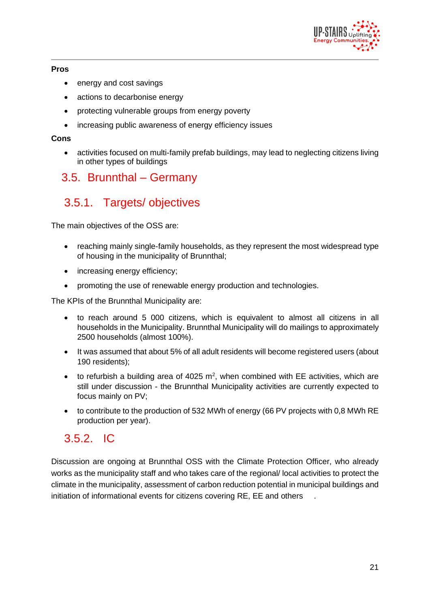

### **Pros**

- energy and cost savings
- actions to decarbonise energy
- protecting vulnerable groups from energy poverty
- increasing public awareness of energy efficiency issues

#### **Cons**

• activities focused on multi-family prefab buildings, may lead to neglecting citizens living in other types of buildings

### <span id="page-20-0"></span>3.5. Brunnthal – Germany

### <span id="page-20-1"></span>3.5.1. Targets/ objectives

The main objectives of the OSS are:

- reaching mainly single-family households, as they represent the most widespread type of housing in the municipality of Brunnthal;
- increasing energy efficiency;
- promoting the use of renewable energy production and technologies.

The KPIs of the Brunnthal Municipality are:

- to reach around 5 000 citizens, which is equivalent to almost all citizens in all households in the Municipality. Brunnthal Municipality will do mailings to approximately 2500 households (almost 100%).
- It was assumed that about 5% of all adult residents will become registered users (about 190 residents);
- to refurbish a building area of 4025  $m^2$ , when combined with EE activities, which are still under discussion - the Brunnthal Municipality activities are currently expected to focus mainly on PV;
- to contribute to the production of 532 MWh of energy (66 PV projects with 0,8 MWh RE production per year).

### <span id="page-20-2"></span>3.5.2. IC

Discussion are ongoing at Brunnthal OSS with the Climate Protection Officer, who already works as the municipality staff and who takes care of the regional/ local activities to protect the climate in the municipality, assessment of carbon reduction potential in municipal buildings and initiation of informational events for citizens covering RE, EE and others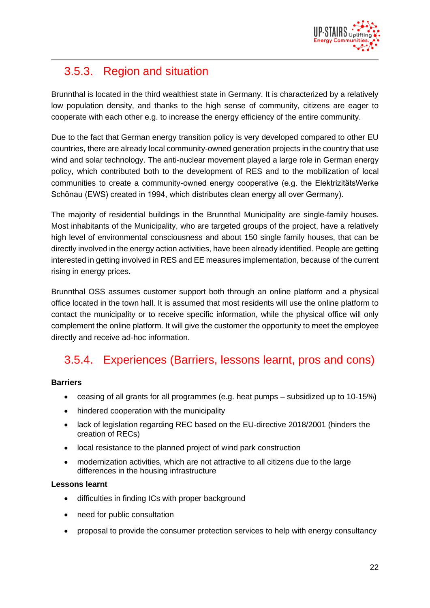

### <span id="page-21-0"></span>3.5.3. Region and situation

Brunnthal is located in the third wealthiest state in Germany. It is characterized by a relatively low population density, and thanks to the high sense of community, citizens are eager to cooperate with each other e.g. to increase the energy efficiency of the entire community.

Due to the fact that German energy transition policy is very developed compared to other EU countries, there are already local community-owned generation projects in the country that use wind and solar technology. The anti-nuclear movement played a large role in German energy policy, which contributed both to the development of RES and to the mobilization of local communities to create a community-owned energy cooperative (e.g. the ElektrizitätsWerke Schönau (EWS) created in 1994, which distributes clean energy all over Germany).

The majority of residential buildings in the Brunnthal Municipality are single-family houses. Most inhabitants of the Municipality, who are targeted groups of the project, have a relatively high level of environmental consciousness and about 150 single family houses, that can be directly involved in the energy action activities, have been already identified. People are getting interested in getting involved in RES and EE measures implementation, because of the current rising in energy prices.

Brunnthal OSS assumes customer support both through an online platform and a physical office located in the town hall. It is assumed that most residents will use the online platform to contact the municipality or to receive specific information, while the physical office will only complement the online platform. It will give the customer the opportunity to meet the employee directly and receive ad-hoc information.

### <span id="page-21-1"></span>3.5.4. Experiences (Barriers, lessons learnt, pros and cons)

#### **Barriers**

- ceasing of all grants for all programmes (e.g. heat pumps subsidized up to 10-15%)
- hindered cooperation with the municipality
- lack of legislation regarding REC based on the EU-directive 2018/2001 (hinders the creation of RECs)
- local resistance to the planned project of wind park construction
- modernization activities, which are not attractive to all citizens due to the large differences in the housing infrastructure

#### **Lessons learnt**

- difficulties in finding ICs with proper background
- need for public consultation
- proposal to provide the consumer protection services to help with energy consultancy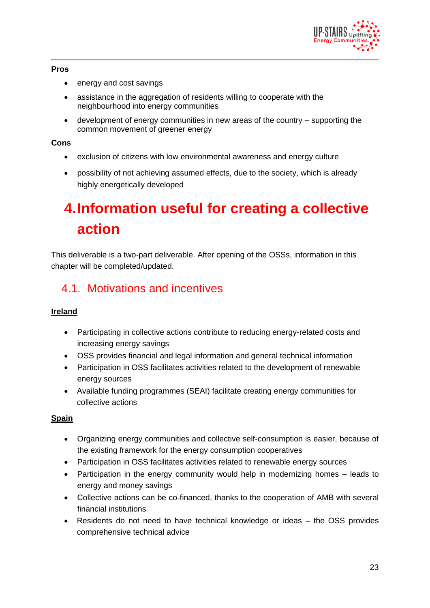

### **Pros**

- energy and cost savings
- assistance in the aggregation of residents willing to cooperate with the neighbourhood into energy communities
- development of energy communities in new areas of the country supporting the common movement of greener energy

#### **Cons**

- exclusion of citizens with low environmental awareness and energy culture
- possibility of not achieving assumed effects, due to the society, which is already highly energetically developed

# <span id="page-22-0"></span>**4.Information useful for creating a collective action**

This deliverable is a two-part deliverable. After opening of the OSSs, information in this chapter will be completed/updated.

### <span id="page-22-1"></span>4.1. Motivations and incentives

### **Ireland**

- Participating in collective actions contribute to reducing energy-related costs and increasing energy savings
- OSS provides financial and legal information and general technical information
- Participation in OSS facilitates activities related to the development of renewable energy sources
- Available funding programmes (SEAI) facilitate creating energy communities for collective actions

### **Spain**

- Organizing energy communities and collective self-consumption is easier, because of the existing framework for the energy consumption cooperatives
- Participation in OSS facilitates activities related to renewable energy sources
- Participation in the energy community would help in modernizing homes leads to energy and money savings
- Collective actions can be co-financed, thanks to the cooperation of AMB with several financial institutions
- Residents do not need to have technical knowledge or ideas the OSS provides comprehensive technical advice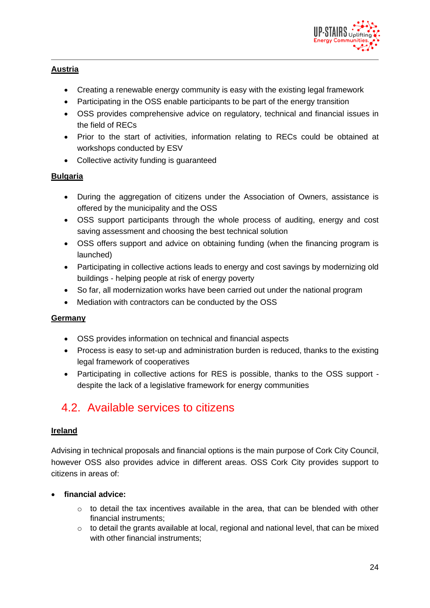

### **Austria**

- Creating a renewable energy community is easy with the existing legal framework
- Participating in the OSS enable participants to be part of the energy transition
- OSS provides comprehensive advice on regulatory, technical and financial issues in the field of RECs
- Prior to the start of activities, information relating to RECs could be obtained at workshops conducted by ESV
- Collective activity funding is guaranteed

### **Bulgaria**

- During the aggregation of citizens under the Association of Owners, assistance is offered by the municipality and the OSS
- OSS support participants through the whole process of auditing, energy and cost saving assessment and choosing the best technical solution
- OSS offers support and advice on obtaining funding (when the financing program is launched)
- Participating in collective actions leads to energy and cost savings by modernizing old buildings - helping people at risk of energy poverty
- So far, all modernization works have been carried out under the national program
- Mediation with contractors can be conducted by the OSS

### **Germany**

- OSS provides information on technical and financial aspects
- Process is easy to set-up and administration burden is reduced, thanks to the existing legal framework of cooperatives
- Participating in collective actions for RES is possible, thanks to the OSS support despite the lack of a legislative framework for energy communities

### <span id="page-23-0"></span>4.2. Available services to citizens

### **Ireland**

Advising in technical proposals and financial options is the main purpose of Cork City Council, however OSS also provides advice in different areas. OSS Cork City provides support to citizens in areas of:

### • **financial advice:**

- $\circ$  to detail the tax incentives available in the area, that can be blended with other financial instruments;
- $\circ$  to detail the grants available at local, regional and national level, that can be mixed with other financial instruments;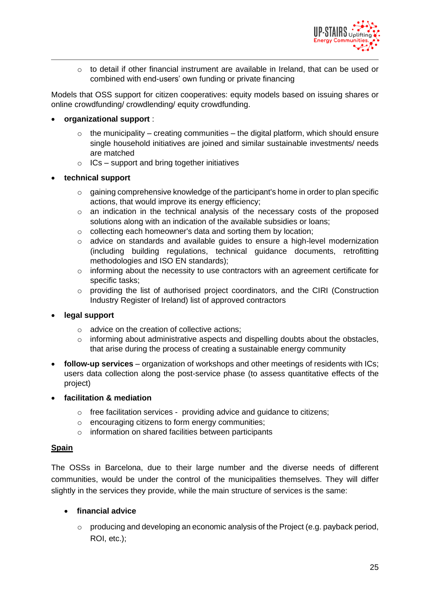

 $\circ$  to detail if other financial instrument are available in Ireland, that can be used or combined with end-users' own funding or private financing

Models that OSS support for citizen cooperatives: equity models based on issuing shares or online crowdfunding/ crowdlending/ equity crowdfunding.

#### • **organizational support** :

- $\circ$  the municipality creating communities the digital platform, which should ensure single household initiatives are joined and similar sustainable investments/ needs are matched
- $\circ$  ICs support and bring together initiatives

#### • **technical support**

- $\circ$  gaining comprehensive knowledge of the participant's home in order to plan specific actions, that would improve its energy efficiency;
- $\circ$  an indication in the technical analysis of the necessary costs of the proposed solutions along with an indication of the available subsidies or loans;
- o collecting each homeowner's data and sorting them by location;
- o advice on standards and available guides to ensure a high-level modernization (including building regulations, technical guidance documents, retrofitting methodologies and ISO EN standards);
- o informing about the necessity to use contractors with an agreement certificate for specific tasks;
- o providing the list of authorised project coordinators, and the CIRI (Construction Industry Register of Ireland) list of approved contractors
- **legal support**
	- o advice on the creation of collective actions;
	- $\circ$  informing about administrative aspects and dispelling doubts about the obstacles, that arise during the process of creating a sustainable energy community
- **follow-up services** organization of workshops and other meetings of residents with ICs; users data collection along the post-service phase (to assess quantitative effects of the project)
- **facilitation & mediation**
	- o free facilitation services providing advice and guidance to citizens;
	- o encouraging citizens to form energy communities;
	- o information on shared facilities between participants

#### **Spain**

The OSSs in Barcelona, due to their large number and the diverse needs of different communities, would be under the control of the municipalities themselves. They will differ slightly in the services they provide, while the main structure of services is the same:

#### • **financial advice**

 $\circ$  producing and developing an economic analysis of the Project (e.g. payback period, ROI, etc.);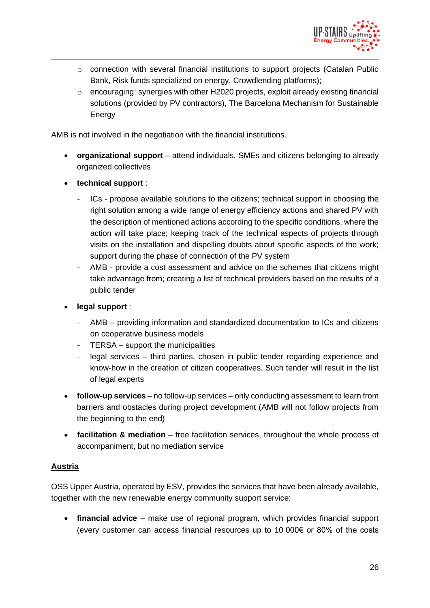

- $\circ$  connection with several financial institutions to support projects (Catalan Public Bank, Risk funds specialized on energy, Crowdlending platforms);
- $\circ$  encouraging: synergies with other H2020 projects, exploit already existing financial solutions (provided by PV contractors), The Barcelona Mechanism for Sustainable Energy

AMB is not involved in the negotiation with the financial institutions.

- **organizational support** attend individuals, SMEs and citizens belonging to already organized collectives
- **technical support** :
	- ICs propose available solutions to the citizens; technical support in choosing the right solution among a wide range of energy efficiency actions and shared PV with the description of mentioned actions according to the specific conditions, where the action will take place; keeping track of the technical aspects of projects through visits on the installation and dispelling doubts about specific aspects of the work; support during the phase of connection of the PV system
	- AMB provide a cost assessment and advice on the schemes that citizens might take advantage from; creating a list of technical providers based on the results of a public tender
- **legal support** :
	- AMB providing information and standardized documentation to ICs and citizens on cooperative business models
	- TERSA support the municipalities
	- legal services third parties, chosen in public tender regarding experience and know-how in the creation of citizen cooperatives. Such tender will result in the list of legal experts
- **follow-up services**  no follow-up services only conducting assessment to learn from barriers and obstacles during project development (AMB will not follow projects from the beginning to the end)
- **facilitation & mediation** free facilitation services, throughout the whole process of accompaniment, but no mediation service

#### **Austria**

OSS Upper Austria, operated by ESV, provides the services that have been already available, together with the new renewable energy community support service:

• **financial advice** – make use of regional program, which provides financial support (every customer can access financial resources up to 10 000€ or 80% of the costs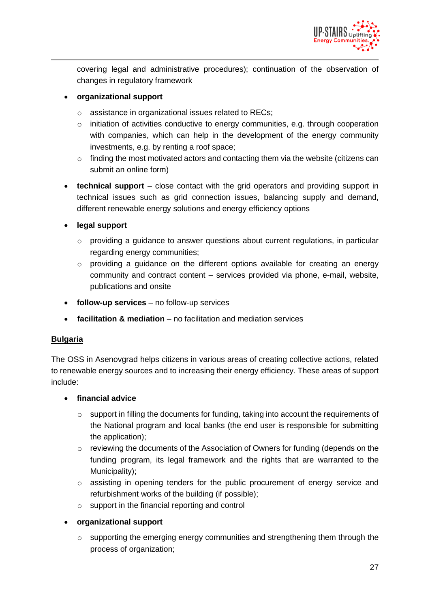

covering legal and administrative procedures); continuation of the observation of changes in regulatory framework

#### • **organizational support**

- o assistance in organizational issues related to RECs;
- $\circ$  initiation of activities conductive to energy communities, e.g. through cooperation with companies, which can help in the development of the energy community investments, e.g. by renting a roof space;
- $\circ$  finding the most motivated actors and contacting them via the website (citizens can submit an online form)
- **technical support** close contact with the grid operators and providing support in technical issues such as grid connection issues, balancing supply and demand, different renewable energy solutions and energy efficiency options
- **legal support**
	- o providing a guidance to answer questions about current regulations, in particular regarding energy communities;
	- $\circ$  providing a guidance on the different options available for creating an energy community and contract content – services provided via phone, e-mail, website, publications and onsite
- **follow-up services**  no follow-up services
- **facilitation & mediation** no facilitation and mediation services

#### **Bulgaria**

The OSS in Asenovgrad helps citizens in various areas of creating collective actions, related to renewable energy sources and to increasing their energy efficiency. These areas of support include:

#### • **financial advice**

- o support in filling the documents for funding, taking into account the requirements of the National program and local banks (the end user is responsible for submitting the application);
- o reviewing the documents of the Association of Owners for funding (depends on the funding program, its legal framework and the rights that are warranted to the Municipality);
- o assisting in opening tenders for the public procurement of energy service and refurbishment works of the building (if possible);
- o support in the financial reporting and control

#### • **organizational support**

o supporting the emerging energy communities and strengthening them through the process of organization;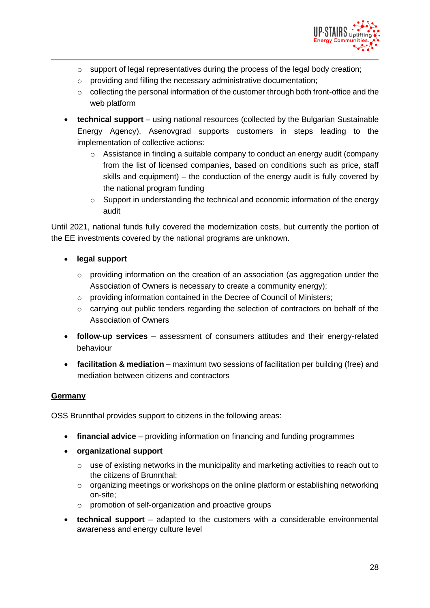

- o support of legal representatives during the process of the legal body creation;
- o providing and filling the necessary administrative documentation;
- $\circ$  collecting the personal information of the customer through both front-office and the web platform
- **technical support** using national resources (collected by the Bulgarian Sustainable Energy Agency), Asenovgrad supports customers in steps leading to the implementation of collective actions:
	- o Assistance in finding a suitable company to conduct an energy audit (company from the list of licensed companies, based on conditions such as price, staff skills and equipment) – the conduction of the energy audit is fully covered by the national program funding
	- o Support in understanding the technical and economic information of the energy audit

Until 2021, national funds fully covered the modernization costs, but currently the portion of the EE investments covered by the national programs are unknown.

- **legal support**
	- $\circ$  providing information on the creation of an association (as aggregation under the Association of Owners is necessary to create a community energy);
	- o providing information contained in the Decree of Council of Ministers;
	- o carrying out public tenders regarding the selection of contractors on behalf of the Association of Owners
- **follow-up services** assessment of consumers attitudes and their energy-related behaviour
- **facilitation & mediation** maximum two sessions of facilitation per building (free) and mediation between citizens and contractors

#### **Germany**

OSS Brunnthal provides support to citizens in the following areas:

- **financial advice** providing information on financing and funding programmes
- **organizational support**
	- $\circ$  use of existing networks in the municipality and marketing activities to reach out to the citizens of Brunnthal;
	- o organizing meetings or workshops on the online platform or establishing networking on-site;
	- o promotion of self-organization and proactive groups
- **technical support** adapted to the customers with a considerable environmental awareness and energy culture level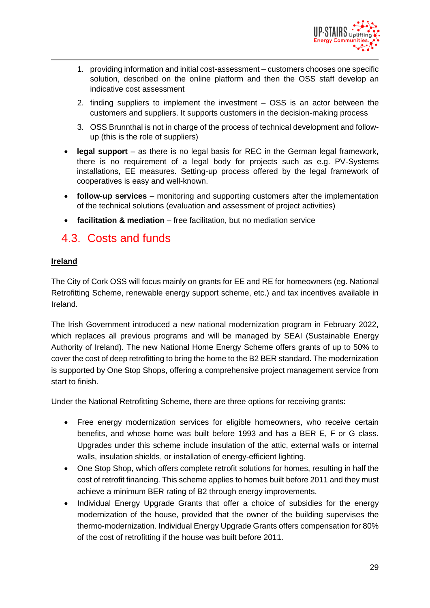

- 1. providing information and initial cost-assessment customers chooses one specific solution, described on the online platform and then the OSS staff develop an indicative cost assessment
- 2. finding suppliers to implement the investment OSS is an actor between the customers and suppliers. It supports customers in the decision-making process
- 3. OSS Brunnthal is not in charge of the process of technical development and followup (this is the role of suppliers)
- **legal support** as there is no legal basis for REC in the German legal framework, there is no requirement of a legal body for projects such as e.g. PV-Systems installations, EE measures. Setting-up process offered by the legal framework of cooperatives is easy and well-known.
- **follow-up services** monitoring and supporting customers after the implementation of the technical solutions (evaluation and assessment of project activities)
- **facilitation & mediation** free facilitation, but no mediation service

### <span id="page-28-0"></span>4.3. Costs and funds

#### **Ireland**

The City of Cork OSS will focus mainly on grants for EE and RE for homeowners (eg. National Retrofitting Scheme, renewable energy support scheme, etc.) and tax incentives available in Ireland.

The Irish Government introduced a new national modernization program in February 2022, which replaces all previous programs and will be managed by SEAI (Sustainable Energy Authority of Ireland). The new National Home Energy Scheme offers grants of up to 50% to cover the cost of deep retrofitting to bring the home to the B2 BER standard. The modernization is supported by One Stop Shops, offering a comprehensive project management service from start to finish.

Under the National Retrofitting Scheme, there are three options for receiving grants:

- Free energy modernization services for eligible homeowners, who receive certain benefits, and whose home was built before 1993 and has a BER E, F or G class. Upgrades under this scheme include insulation of the attic, external walls or internal walls, insulation shields, or installation of energy-efficient lighting.
- One Stop Shop, which offers complete retrofit solutions for homes, resulting in half the cost of retrofit financing. This scheme applies to homes built before 2011 and they must achieve a minimum BER rating of B2 through energy improvements.
- Individual Energy Upgrade Grants that offer a choice of subsidies for the energy modernization of the house, provided that the owner of the building supervises the thermo-modernization. Individual Energy Upgrade Grants offers compensation for 80% of the cost of retrofitting if the house was built before 2011.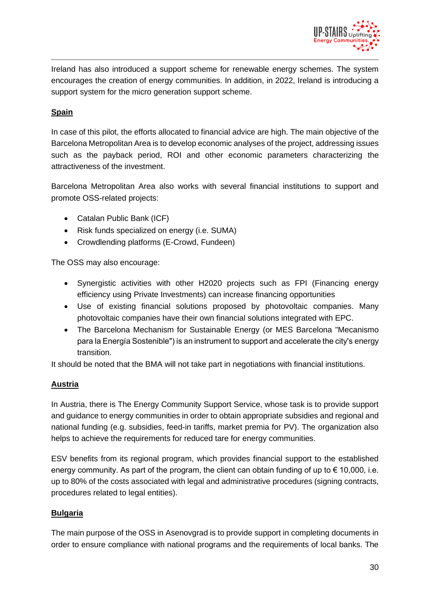

Ireland has also introduced a support scheme for renewable energy schemes. The system encourages the creation of energy communities. In addition, in 2022, Ireland is introducing a support system for the micro generation support scheme.

### **Spain**

In case of this pilot, the efforts allocated to financial advice are high. The main objective of the Barcelona Metropolitan Area is to develop economic analyses of the project, addressing issues such as the payback period, ROI and other economic parameters characterizing the attractiveness of the investment.

Barcelona Metropolitan Area also works with several financial institutions to support and promote OSS-related projects:

- Catalan Public Bank (ICF)
- Risk funds specialized on energy (i.e. SUMA)
- Crowdlending platforms (E-Crowd, Fundeen)

The OSS may also encourage:

- Synergistic activities with other H2020 projects such as FPI (Financing energy efficiency using Private Investments) can increase financing opportunities
- Use of existing financial solutions proposed by photovoltaic companies. Many photovoltaic companies have their own financial solutions integrated with EPC.
- The Barcelona Mechanism for Sustainable Energy (or MES Barcelona "Mecanismo para la Energía Sostenible") is an instrument to support and accelerate the city's energy transition.

It should be noted that the BMA will not take part in negotiations with financial institutions.

#### **Austria**

In Austria, there is The Energy Community Support Service, whose task is to provide support and guidance to energy communities in order to obtain appropriate subsidies and regional and national funding (e.g. subsidies, feed-in tariffs, market premia for PV). The organization also helps to achieve the requirements for reduced tare for energy communities.

ESV benefits from its regional program, which provides financial support to the established energy community. As part of the program, the client can obtain funding of up to  $\epsilon$  10,000, i.e. up to 80% of the costs associated with legal and administrative procedures (signing contracts, procedures related to legal entities).

#### **Bulgaria**

The main purpose of the OSS in Asenovgrad is to provide support in completing documents in order to ensure compliance with national programs and the requirements of local banks. The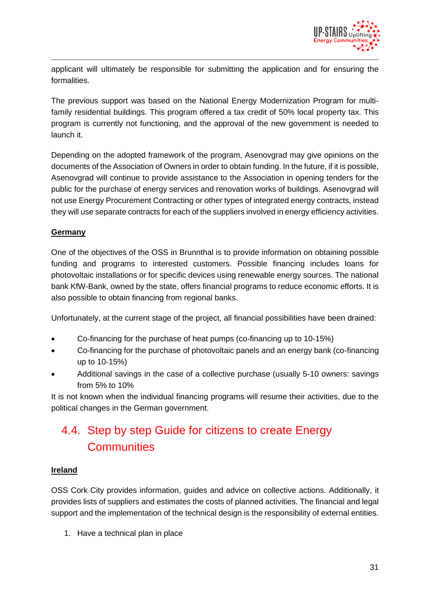

applicant will ultimately be responsible for submitting the application and for ensuring the formalities.

The previous support was based on the National Energy Modernization Program for multifamily residential buildings. This program offered a tax credit of 50% local property tax. This program is currently not functioning, and the approval of the new government is needed to launch it.

Depending on the adopted framework of the program, Asenovgrad may give opinions on the documents of the Association of Owners in order to obtain funding. In the future, if it is possible, Asenovgrad will continue to provide assistance to the Association in opening tenders for the public for the purchase of energy services and renovation works of buildings. Asenovgrad will not use Energy Procurement Contracting or other types of integrated energy contracts, instead they will use separate contracts for each of the suppliers involved in energy efficiency activities.

### **Germany**

One of the objectives of the OSS in Brunnthal is to provide information on obtaining possible funding and programs to interested customers. Possible financing includes loans for photovoltaic installations or for specific devices using renewable energy sources. The national bank KfW-Bank, owned by the state, offers financial programs to reduce economic efforts. It is also possible to obtain financing from regional banks.

Unfortunately, at the current stage of the project, all financial possibilities have been drained:

- Co-financing for the purchase of heat pumps (co-financing up to 10-15%)
- Co-financing for the purchase of photovoltaic panels and an energy bank (co-financing up to 10-15%)
- Additional savings in the case of a collective purchase (usually 5-10 owners: savings from 5% to 10%

It is not known when the individual financing programs will resume their activities, due to the political changes in the German government.

### <span id="page-30-0"></span>4.4. Step by step Guide for citizens to create Energy **Communities**

#### **Ireland**

OSS Cork City provides information, guides and advice on collective actions. Additionally, it provides lists of suppliers and estimates the costs of planned activities. The financial and legal support and the implementation of the technical design is the responsibility of external entities.

1. Have a technical plan in place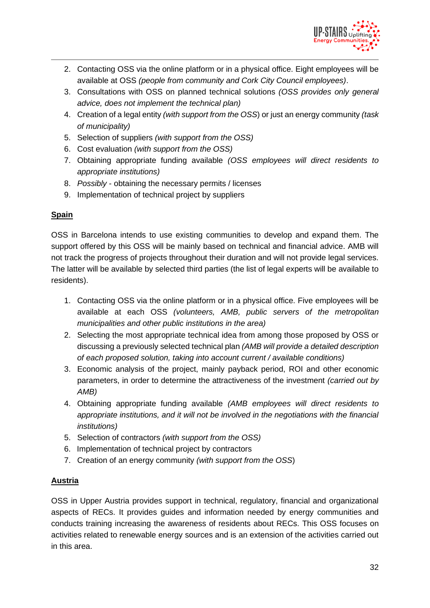

- 2. Contacting OSS via the online platform or in a physical office. Eight employees will be available at OSS *(people from community and Cork City Council employees)*.
- 3. Consultations with OSS on planned technical solutions *(OSS provides only general advice, does not implement the technical plan)*
- 4. Creation of a legal entity *(with support from the OSS*) or just an energy community *(task of municipality)*
- 5. Selection of suppliers *(with support from the OSS)*
- 6. Cost evaluation *(with support from the OSS)*
- 7. Obtaining appropriate funding available *(OSS employees will direct residents to appropriate institutions)*
- 8. *Possibly* obtaining the necessary permits / licenses
- 9. Implementation of technical project by suppliers

### **Spain**

OSS in Barcelona intends to use existing communities to develop and expand them. The support offered by this OSS will be mainly based on technical and financial advice. AMB will not track the progress of projects throughout their duration and will not provide legal services. The latter will be available by selected third parties (the list of legal experts will be available to residents).

- 1. Contacting OSS via the online platform or in a physical office. Five employees will be available at each OSS *(volunteers, AMB, public servers of the metropolitan municipalities and other public institutions in the area)*
- 2. Selecting the most appropriate technical idea from among those proposed by OSS or discussing a previously selected technical plan *(AMB will provide a detailed description of each proposed solution, taking into account current / available conditions)*
- 3. Economic analysis of the project, mainly payback period, ROI and other economic parameters, in order to determine the attractiveness of the investment *(carried out by AMB)*
- 4. Obtaining appropriate funding available *(AMB employees will direct residents to appropriate institutions, and it will not be involved in the negotiations with the financial institutions)*
- 5. Selection of contractors *(with support from the OSS)*
- 6. Implementation of technical project by contractors
- 7. Creation of an energy community *(with support from the OSS*)

### **Austria**

OSS in Upper Austria provides support in technical, regulatory, financial and organizational aspects of RECs. It provides guides and information needed by energy communities and conducts training increasing the awareness of residents about RECs. This OSS focuses on activities related to renewable energy sources and is an extension of the activities carried out in this area.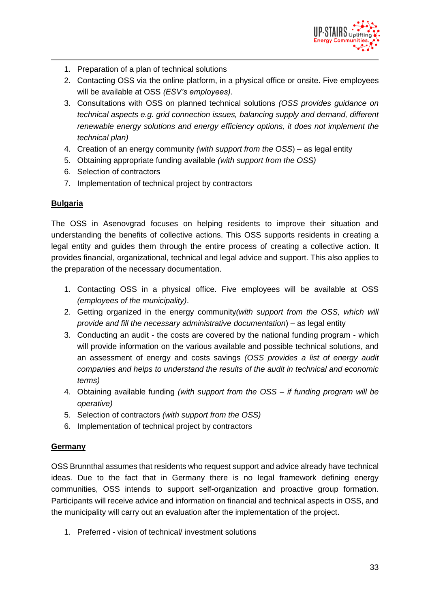

- 1. Preparation of a plan of technical solutions
- 2. Contacting OSS via the online platform, in a physical office or onsite. Five employees will be available at OSS *(ESV's employees)*.
- 3. Consultations with OSS on planned technical solutions *(OSS provides guidance on technical aspects e.g. grid connection issues, balancing supply and demand, different renewable energy solutions and energy efficiency options, it does not implement the technical plan)*
- 4. Creation of an energy community *(with support from the OSS*) as legal entity
- 5. Obtaining appropriate funding available *(with support from the OSS)*
- 6. Selection of contractors
- 7. Implementation of technical project by contractors

#### **Bulgaria**

The OSS in Asenovgrad focuses on helping residents to improve their situation and understanding the benefits of collective actions. This OSS supports residents in creating a legal entity and guides them through the entire process of creating a collective action. It provides financial, organizational, technical and legal advice and support. This also applies to the preparation of the necessary documentation.

- 1. Contacting OSS in a physical office. Five employees will be available at OSS *(employees of the municipality)*.
- 2. Getting organized in the energy community*(with support from the OSS, which will provide and fill the necessary administrative documentation*) – as legal entity
- 3. Conducting an audit the costs are covered by the national funding program which will provide information on the various available and possible technical solutions, and an assessment of energy and costs savings *(OSS provides a list of energy audit companies and helps to understand the results of the audit in technical and economic terms)*
- 4. Obtaining available funding *(with support from the OSS – if funding program will be operative)*
- 5. Selection of contractors *(with support from the OSS)*
- 6. Implementation of technical project by contractors

#### **Germany**

OSS Brunnthal assumes that residents who request support and advice already have technical ideas. Due to the fact that in Germany there is no legal framework defining energy communities, OSS intends to support self-organization and proactive group formation. Participants will receive advice and information on financial and technical aspects in OSS, and the municipality will carry out an evaluation after the implementation of the project.

1. Preferred - vision of technical/ investment solutions